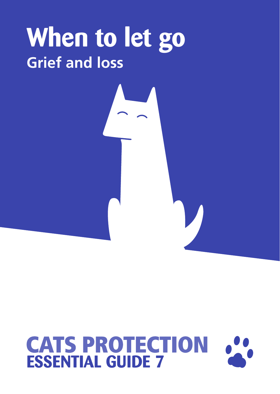## **When to let go Grief and loss**

# **CATS PROTECTION**<br>**ESSENTIAL GUIDE 7**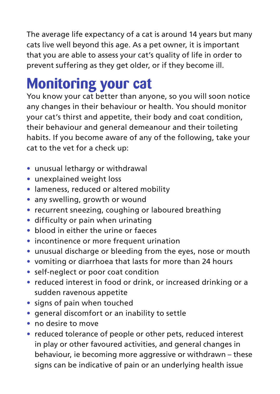The average life expectancy of a cat is around 14 years but many cats live well beyond this age. As a pet owner, it is important that you are able to assess your cat's quality of life in order to prevent suffering as they get older, or if they become ill.

### **Monitoring your cat**

You know your cat better than anyone, so you will soon notice any changes in their behaviour or health. You should monitor your cat's thirst and appetite, their body and coat condition, their behaviour and general demeanour and their toileting habits. If you become aware of any of the following, take your cat to the vet for a check up:

- **•** unusual lethargy or withdrawal
- **•** unexplained weight loss
- **•** lameness, reduced or altered mobility
- **•** any swelling, growth or wound
- **•** recurrent sneezing, coughing or laboured breathing
- **•** difficulty or pain when urinating
- **•** blood in either the urine or faeces
- **•** incontinence or more frequent urination
- **•** unusual discharge or bleeding from the eyes, nose or mouth
- **•** vomiting or diarrhoea that lasts for more than 24 hours
- **•** self-neglect or poor coat condition
- **•** reduced interest in food or drink, or increased drinking or a sudden ravenous appetite
- **•** signs of pain when touched
- **•** general discomfort or an inability to settle
- **•** no desire to move
- **•** reduced tolerance of people or other pets, reduced interest in play or other favoured activities, and general changes in behaviour, ie becoming more aggressive or withdrawn – these signs can be indicative of pain or an underlying health issue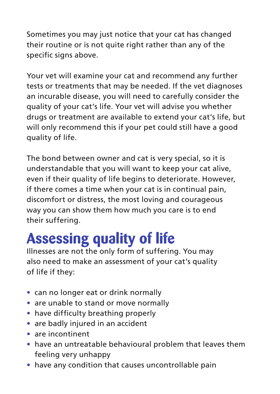Sometimes you may just notice that your cat has changed their routine or is not quite right rather than any of the specific signs above.

Your vet will examine your cat and recommend any further tests or treatments that may be needed. If the vet diagnoses an incurable disease, you will need to carefully consider the quality of your cat's life. Your vet will advise you whether drugs or treatment are available to extend your cat's life, but will only recommend this if your pet could still have a good quality of life.

The bond between owner and cat is very special, so it is understandable that you will want to keep your cat alive, even if their quality of life begins to deteriorate. However, if there comes a time when your cat is in continual pain, discomfort or distress, the most loving and courageous way you can show them how much you care is to end their suffering.

### **Assessing quality of life**

Illnesses are not the only form of suffering. You may also need to make an assessment of your cat's quality of life if they:

- **•** can no longer eat or drink normally
- **•** are unable to stand or move normally
- **•** have difficulty breathing properly
- **•** are badly injured in an accident
- **•** are incontinent
- **•** have an untreatable behavioural problem that leaves them feeling very unhappy
- **•** have any condition that causes uncontrollable pain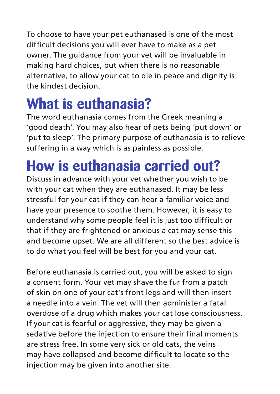To choose to have your pet euthanased is one of the most difficult decisions you will ever have to make as a pet owner. The guidance from your vet will be invaluable in making hard choices, but when there is no reasonable alternative, to allow your cat to die in peace and dignity is the kindest decision.

### **What is euthanasia?**

The word euthanasia comes from the Greek meaning a 'good death'. You may also hear of pets being 'put down' or 'put to sleep'. The primary purpose of euthanasia is to relieve suffering in a way which is as painless as possible.

### **How is euthanasia carried out?**

Discuss in advance with your vet whether you wish to be with your cat when they are euthanased. It may be less stressful for your cat if they can hear a familiar voice and have your presence to soothe them. However, it is easy to understand why some people feel it is just too difficult or that if they are frightened or anxious a cat may sense this and become upset. We are all different so the best advice is to do what you feel will be best for you and your cat.

Before euthanasia is carried out, you will be asked to sign a consent form. Your vet may shave the fur from a patch of skin on one of your cat's front legs and will then insert a needle into a vein. The vet will then administer a fatal overdose of a drug which makes your cat lose consciousness. If your cat is fearful or aggressive, they may be given a sedative before the injection to ensure their final moments are stress free. In some very sick or old cats, the veins may have collapsed and become difficult to locate so the injection may be given into another site.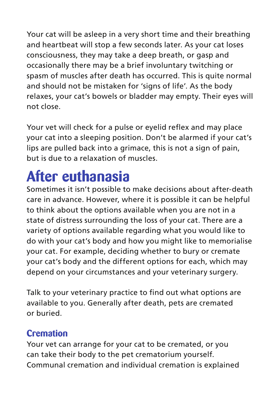Your cat will be asleep in a very short time and their breathing and heartbeat will stop a few seconds later. As your cat loses consciousness, they may take a deep breath, or gasp and occasionally there may be a brief involuntary twitching or spasm of muscles after death has occurred. This is quite normal and should not be mistaken for 'signs of life'. As the body relaxes, your cat's bowels or bladder may empty. Their eyes will not close.

Your vet will check for a pulse or eyelid reflex and may place your cat into a sleeping position. Don't be alarmed if your cat's lips are pulled back into a grimace, this is not a sign of pain, but is due to a relaxation of muscles.

### **After euthanasia**

Sometimes it isn't possible to make decisions about after-death care in advance. However, where it is possible it can be helpful to think about the options available when you are not in a state of distress surrounding the loss of your cat. There are a variety of options available regarding what you would like to do with your cat's body and how you might like to memorialise your cat. For example, deciding whether to bury or cremate your cat's body and the different options for each, which may depend on your circumstances and your veterinary surgery.

Talk to your veterinary practice to find out what options are available to you. Generally after death, pets are cremated or buried.

#### **Cremation**

Your vet can arrange for your cat to be cremated, or you can take their body to the pet crematorium yourself. Communal cremation and individual cremation is explained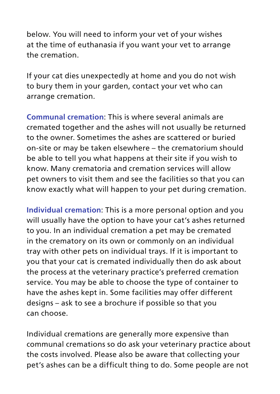below. You will need to inform your vet of your wishes at the time of euthanasia if you want your vet to arrange the cremation.

If your cat dies unexpectedly at home and you do not wish to bury them in your garden, contact your vet who can arrange cremation.

**Communal cremation**: This is where several animals are cremated together and the ashes will not usually be returned to the owner. Sometimes the ashes are scattered or buried on-site or may be taken elsewhere – the crematorium should be able to tell you what happens at their site if you wish to know. Many crematoria and cremation services will allow pet owners to visit them and see the facilities so that you can know exactly what will happen to your pet during cremation.

**Individual cremation**: This is a more personal option and you will usually have the option to have your cat's ashes returned to you. In an individual cremation a pet may be cremated in the crematory on its own or commonly on an individual tray with other pets on individual trays. If it is important to you that your cat is cremated individually then do ask about the process at the veterinary practice's preferred cremation service. You may be able to choose the type of container to have the ashes kept in. Some facilities may offer different designs – ask to see a brochure if possible so that you can choose.

Individual cremations are generally more expensive than communal cremations so do ask your veterinary practice about the costs involved. Please also be aware that collecting your pet's ashes can be a difficult thing to do. Some people are not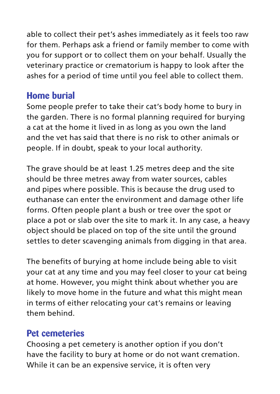able to collect their pet's ashes immediately as it feels too raw for them. Perhaps ask a friend or family member to come with you for support or to collect them on your behalf. Usually the veterinary practice or crematorium is happy to look after the ashes for a period of time until you feel able to collect them.

#### **Home burial**

Some people prefer to take their cat's body home to bury in the garden. There is no formal planning required for burying a cat at the home it lived in as long as you own the land and the vet has said that there is no risk to other animals or people. If in doubt, speak to your local authority.

The grave should be at least 1.25 metres deep and the site should be three metres away from water sources, cables and pipes where possible. This is because the drug used to euthanase can enter the environment and damage other life forms. Often people plant a bush or tree over the spot or place a pot or slab over the site to mark it. In any case, a heavy object should be placed on top of the site until the ground settles to deter scavenging animals from digging in that area.

The benefits of burying at home include being able to visit your cat at any time and you may feel closer to your cat being at home. However, you might think about whether you are likely to move home in the future and what this might mean in terms of either relocating your cat's remains or leaving them behind.

#### **Pet cemeteries**

Choosing a pet cemetery is another option if you don't have the facility to bury at home or do not want cremation. While it can be an expensive service, it is often very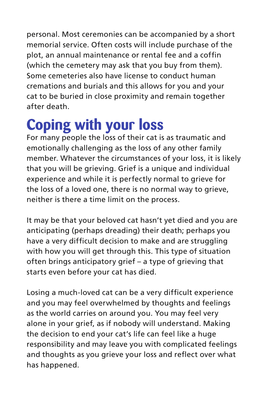personal. Most ceremonies can be accompanied by a short memorial service. Often costs will include purchase of the plot, an annual maintenance or rental fee and a coffin (which the cemetery may ask that you buy from them). Some cemeteries also have license to conduct human cremations and burials and this allows for you and your cat to be buried in close proximity and remain together after death.

### **Coping with your loss**

For many people the loss of their cat is as traumatic and emotionally challenging as the loss of any other family member. Whatever the circumstances of your loss, it is likely that you will be grieving. Grief is a unique and individual experience and while it is perfectly normal to grieve for the loss of a loved one, there is no normal way to grieve. neither is there a time limit on the process.

It may be that your beloved cat hasn't yet died and you are anticipating (perhaps dreading) their death; perhaps you have a very difficult decision to make and are struggling with how you will get through this. This type of situation often brings anticipatory grief – a type of grieving that starts even before your cat has died.

Losing a much-loved cat can be a very difficult experience and you may feel overwhelmed by thoughts and feelings as the world carries on around you. You may feel very alone in your grief, as if nobody will understand. Making the decision to end your cat's life can feel like a huge responsibility and may leave you with complicated feelings and thoughts as you grieve your loss and reflect over what has happened.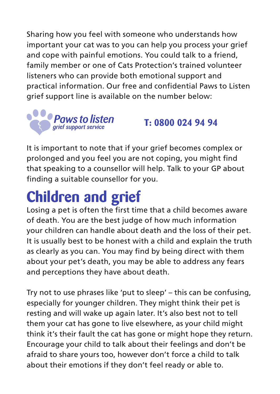Sharing how you feel with someone who understands how important your cat was to you can help you process your grief and cope with painful emotions. You could talk to a friend, family member or one of Cats Protection's trained volunteer listeners who can provide both emotional support and practical information. Our free and confidential Paws to Listen grief support line is available on the number below:



**T: 0800 024 94 94** 

It is important to note that if your grief becomes complex or prolonged and you feel you are not coping, you might find that speaking to a counsellor will help. Talk to your GP about finding a suitable counsellor for you.

### **Children and grief**

Losing a pet is often the first time that a child becomes aware of death. You are the best judge of how much information your children can handle about death and the loss of their pet. It is usually best to be honest with a child and explain the truth as clearly as you can. You may find by being direct with them about your pet's death, you may be able to address any fears and perceptions they have about death.

Try not to use phrases like 'put to sleep' – this can be confusing, especially for younger children. They might think their pet is resting and will wake up again later. It's also best not to tell them your cat has gone to live elsewhere, as your child might think it's their fault the cat has gone or might hope they return. Encourage your child to talk about their feelings and don't be afraid to share yours too, however don't force a child to talk about their emotions if they don't feel ready or able to.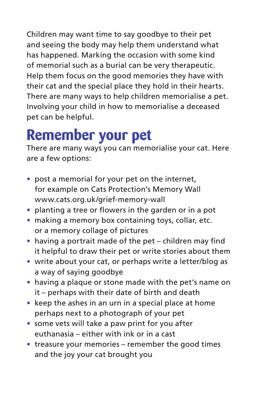Children may want time to say goodbye to their pet and seeing the body may help them understand what has happened. Marking the occasion with some kind of memorial such as a burial can be very therapeutic. Help them focus on the good memories they have with their cat and the special place they hold in their hearts. There are many ways to help children memorialise a pet. Involving your child in how to memorialise a deceased pet can be helpful.

### **Remember your pet**

There are many ways you can memorialise your cat. Here are a few options:

- **•** post a memorial for your pet on the internet, for example on Cats Protection's Memory Wall www.cats.org.uk/grief-memory-wall
- **•** planting a tree or flowers in the garden or in a pot
- **•** making a memory box containing toys, collar, etc. or a memory collage of pictures
- **•** having a portrait made of the pet children may find it helpful to draw their pet or write stories about them
- **•** write about your cat, or perhaps write a letter/blog as a way of saying goodbye
- **•** having a plaque or stone made with the pet's name on it – perhaps with their date of birth and death
- **•** keep the ashes in an urn in a special place at home perhaps next to a photograph of your pet
- **•** some vets will take a paw print for you after euthanasia – either with ink or in a cast
- **•** treasure your memories remember the good times and the joy your cat brought you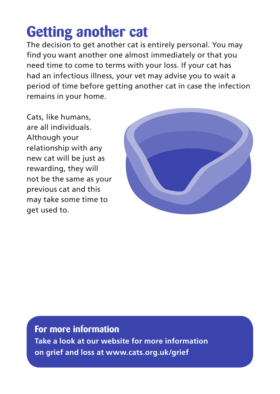### **Getting another cat**

The decision to get another cat is entirely personal. You may find you want another one almost immediately or that you need time to come to terms with your loss. If your cat has had an infectious illness, your vet may advise you to wait a period of time before getting another cat in case the infection remains in your home.

Cats, like humans, are all individuals. Although your relationship with any new cat will be just as rewarding, they will not be the same as your previous cat and this may take some time to get used to.



**For more information Take a look at our website for more information on grief and loss at www.cats.org.uk/grief**